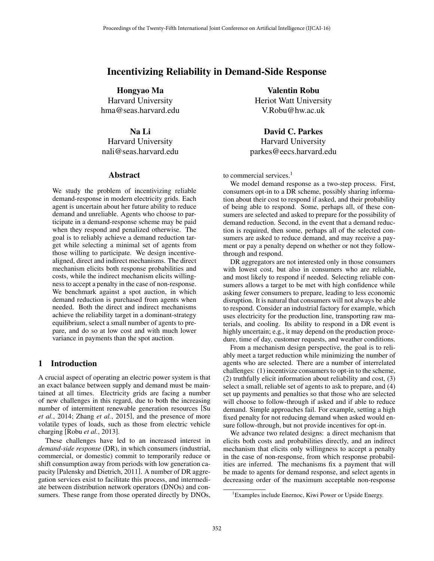# Incentivizing Reliability in Demand-Side Response

Hongyao Ma Harvard University hma@seas.harvard.edu

### Na Li

Harvard University nali@seas.harvard.edu

#### Abstract

We study the problem of incentivizing reliable demand-response in modern electricity grids. Each agent is uncertain about her future ability to reduce demand and unreliable. Agents who choose to participate in a demand-response scheme may be paid when they respond and penalized otherwise. The goal is to reliably achieve a demand reduction target while selecting a minimal set of agents from those willing to participate. We design incentivealigned, direct and indirect mechanisms. The direct mechanism elicits both response probabilities and costs, while the indirect mechanism elicits willingness to accept a penalty in the case of non-response. We benchmark against a spot auction, in which demand reduction is purchased from agents when needed. Both the direct and indirect mechanisms achieve the reliability target in a dominant-strategy equilibrium, select a small number of agents to prepare, and do so at low cost and with much lower variance in payments than the spot auction.

## 1 Introduction

A crucial aspect of operating an electric power system is that an exact balance between supply and demand must be maintained at all times. Electricity grids are facing a number of new challenges in this regard, due to both the increasing number of intermittent renewable generation resources [Su *et al.*, 2014; Zhang *et al.*, 2015], and the presence of more volatile types of loads, such as those from electric vehicle charging [Robu *et al.*, 2013].

These challenges have led to an increased interest in *demand-side response* (DR), in which consumers (industrial, commercial, or domestic) commit to temporarily reduce or shift consumption away from periods with low generation capacity [Palensky and Dietrich, 2011]. A number of DR aggregation services exist to facilitate this process, and intermediate between distribution network operators (DNOs) and consumers. These range from those operated directly by DNOs,

Valentin Robu Heriot Watt University V.Robu@hw.ac.uk

David C. Parkes Harvard University parkes@eecs.harvard.edu

to commercial services.<sup>1</sup>

We model demand response as a two-step process. First, consumers opt-in to a DR scheme, possibly sharing information about their cost to respond if asked, and their probability of being able to respond. Some, perhaps all, of these consumers are selected and asked to prepare for the possibility of demand reduction. Second, in the event that a demand reduction is required, then some, perhaps all of the selected consumers are asked to reduce demand, and may receive a payment or pay a penalty depend on whether or not they followthrough and respond.

DR aggregators are not interested only in those consumers with lowest cost, but also in consumers who are reliable, and most likely to respond if needed. Selecting reliable consumers allows a target to be met with high confidence while asking fewer consumers to prepare, leading to less economic disruption. It is natural that consumers will not always be able to respond. Consider an industrial factory for example, which uses electricity for the production line, transporting raw materials, and cooling. Its ability to respond in a DR event is highly uncertain; e.g., it may depend on the production procedure, time of day, customer requests, and weather conditions.

From a mechanism design perspective, the goal is to reliably meet a target reduction while minimizing the number of agents who are selected. There are a number of interrelated challenges: (1) incentivize consumers to opt-in to the scheme, (2) truthfully elicit information about reliability and cost, (3) select a small, reliable set of agents to ask to prepare, and (4) set up payments and penalties so that those who are selected will choose to follow-through if asked and if able to reduce demand. Simple approaches fail. For example, setting a high fixed penalty for not reducing demand when asked would ensure follow-through, but not provide incentives for opt-in.

We advance two related designs: a direct mechanism that elicits both costs and probabilities directly, and an indirect mechanism that elicits only willingness to accept a penalty in the case of non-response, from which response probabilities are inferred. The mechanisms fix a payment that will be made to agents for demand response, and select agents in decreasing order of the maximum acceptable non-response

<sup>&</sup>lt;sup>1</sup> Examples include Enernoc, Kiwi Power or Upside Energy.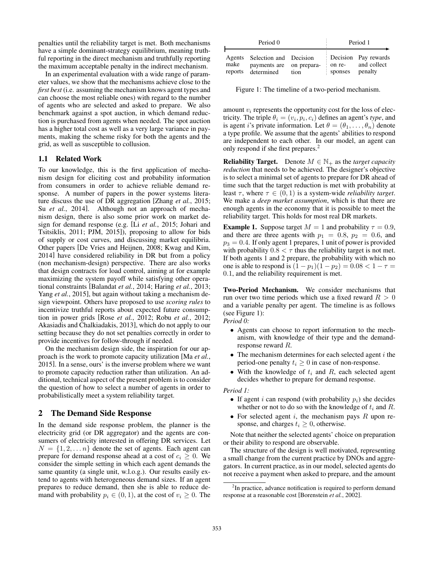penalties until the reliability target is met. Both mechanisms have a simple dominant-strategy equilibrium, meaning truthful reporting in the direct mechanism and truthfully reporting the maximum acceptable penalty in the indirect mechanism.

In an experimental evaluation with a wide range of parameter values, we show that the mechanisms achieve close to the *first best* (i.e. assuming the mechanism knows agent types and can choose the most reliable ones) with regard to the number of agents who are selected and asked to prepare. We also benchmark against a spot auction, in which demand reduction is purchased from agents when needed. The spot auction has a higher total cost as well as a very large variance in payments, making the scheme risky for both the agents and the grid, as well as susceptible to collusion.

#### 1.1 Related Work

To our knowledge, this is the first application of mechanism design for eliciting cost and probability information from consumers in order to achieve reliable demand response. A number of papers in the power systems literature discuss the use of DR aggregation [Zhang *et al.*, 2015; Su *et al.*, 2014]. Although not an approach of mechanism design, there is also some prior work on market design for demand response (e.g. [Li *et al.*, 2015; Johari and Tsitsiklis, 2011; PJM, 2015]), proposing to allow for bids of supply or cost curves, and discussing market equilibria. Other papers [De Vries and Heijnen, 2008; Kwag and Kim, 2014] have considered reliability in DR but from a policy (non mechanism-design) perspective. There are also works that design contracts for load control, aiming at for example maximizing the system payoff while satisfying other operational constraints [Balandat *et al.*, 2014; Haring *et al.*, 2013; Yang *et al.*, 2015], but again without taking a mechanism design viewpoint. Others have proposed to use *scoring rules* to incentivize truthful reports about expected future consumption in power grids [Rose *et al.*, 2012; Robu *et al.*, 2012; Akasiadis and Chalkiadakis, 2013], which do not apply to our setting because they do not set penalties correctly in order to provide incentives for follow-through if needed.

On the mechanism design side, the inspiration for our approach is the work to promote capacity utilization [Ma *et al.*, 2015]. In a sense, ours' is the inverse problem where we want to promote capacity reduction rather than utilization. An additional, technical aspect of the present problem is to consider the question of how to select a number of agents in order to probabilistically meet a system reliability target.

### 2 The Demand Side Response

In the demand side response problem, the planner is the electricity grid (or DR aggregator) and the agents are consumers of electricity interested in offering DR services. Let  $N = \{1, 2, \ldots n\}$  denote the set of agents. Each agent can prepare for demand response ahead at a cost of  $c_i \geq 0$ . We consider the simple setting in which each agent demands the same quantity (a single unit, w.l.o.g.). Our results easily extend to agents with heterogeneous demand sizes. If an agent prepares to reduce demand, then she is able to reduce demand with probability  $p_i \in (0,1)$ , at the cost of  $v_i \geq 0$ . The

| Period 0                  |                                                                  |      | Period 1          |                                                |
|---------------------------|------------------------------------------------------------------|------|-------------------|------------------------------------------------|
| Agents<br>make<br>reports | Selection and Decision<br>payments are on prepara-<br>determined | tion | on re-<br>sponses | Decision Pay rewards<br>and collect<br>penalty |

Figure 1: The timeline of a two-period mechanism.

amount  $v_i$  represents the opportunity cost for the loss of electricity. The triple  $\theta_i = (v_i, p_i, c_i)$  defines an agent's *type*, and is agent *i*'s private information. Let  $\theta = (\theta_1, \dots, \theta_n)$  denote a type profile. We assume that the agents' abilities to respond are independent to each other. In our model, an agent can only respond if she first prepares.<sup>2</sup>

**Reliability Target.** Denote  $M \in \mathbb{N}_+$  as the *target capacity reduction* that needs to be achieved. The designer's objective is to select a minimal set of agents to prepare for DR ahead of time such that the target reduction is met with probability at least  $\tau$ , where  $\tau \in (0, 1)$  is a system-wide *reliability target*. We make a *deep market assumption*, which is that there are enough agents in the economy that it is possible to meet the reliability target. This holds for most real DR markets.

**Example 1.** Suppose target  $M = 1$  and probability  $\tau = 0.9$ , and there are three agents with  $p_1 = 0.8$ ,  $p_2 = 0.6$ , and  $p_3 = 0.4$ . If only agent 1 prepares, 1 unit of power is provided with probability  $0.8 < \tau$  thus the reliability target is not met. If both agents 1 and 2 prepare, the probability with which no one is able to respond is  $(1 - p_1)(1 - p_2) = 0.08 < 1 - \tau =$ 0*.*1, and the reliability requirement is met.

Two-Period Mechanism. We consider mechanisms that run over two time periods which use a fixed reward *R >* 0 and a variable penalty per agent. The timeline is as follows (see Figure 1):

*Period 0:*

- *•* Agents can choose to report information to the mechanism, with knowledge of their type and the demandresponse reward *R*.
- *•* The mechanism determines for each selected agent *i* the period-one penalty  $t_i \geq 0$  in case of non-response.
- *•* With the knowledge of *t<sup>i</sup>* and *R*, each selected agent decides whether to prepare for demand response.

#### *Period 1:*

- *•* If agent *i* can respond (with probability *pi*) she decides whether or not to do so with the knowledge of *t<sup>i</sup>* and *R*.
- *•* For selected agent *i*, the mechanism pays *R* upon response, and charges  $t_i \geq 0$ , otherwise.

Note that neither the selected agents' choice on preparation or their ability to respond are observable.

The structure of the design is well motivated, representing a small change from the current practice by DNOs and aggregators. In current practice, as in our model, selected agents do not receive a payment when asked to prepare, and the amount

<sup>&</sup>lt;sup>2</sup>In practice, advance notification is required to perform demand response at a reasonable cost [Borenstein *et al.*, 2002].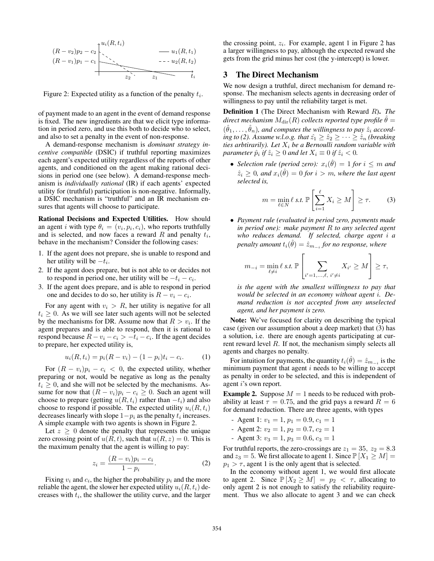

Figure 2: Expected utility as a function of the penalty *ti*.

of payment made to an agent in the event of demand response is fixed. The new ingredients are that we elicit type information in period zero, and use this both to decide who to select, and also to set a penalty in the event of non-response.

A demand-response mechanism is *dominant strategy incentive compatible* (DSIC) if truthful reporting maximizes each agent's expected utility regardless of the reports of other agents, and conditioned on the agent making rational decisions in period one (see below). A demand-response mechanism is *individually rational* (IR) if each agents' expected utility for (truthful) participation is non-negative. Informally, a DSIC mechanism is "truthful" and an IR mechanism ensures that agents will choose to participate.

Rational Decisions and Expected Utilities. How should an agent *i* with type  $\theta_i = (v_i, p_i, c_i)$ , who reports truthfully and is selected, and now faces a reward *R* and penalty *ti*, behave in the mechanism? Consider the following cases:

- 1. If the agent does not prepare, she is unable to respond and her utility will be  $-t_i$ .
- 2. If the agent does prepare, but is not able to or decides not to respond in period one, her utility will be  $-t_i - c_i$ .
- 3. If the agent does prepare, and is able to respond in period one and decides to do so, her utility is  $R - v_i - c_i$ .

For any agent with  $v_i > R$ , her utility is negative for all  $t_i \geq 0$ . As we will see later such agents will not be selected by the mechanisms for DR. Assume now that  $R > v_i$ . If the agent prepares and is able to respond, then it is rational to respond because  $R - v_i - c_i > -t_i - c_i$ . If the agent decides to prepare, her expected utility is,

$$
u_i(R, t_i) = p_i(R - v_i) - (1 - p_i)t_i - c_i.
$$
 (1)

For  $(R - v_i)p_i - c_i < 0$ , the expected utility, whether preparing or not, would be negative as long as the penalty  $t_i \geq 0$ , and she will not be selected by the mechanisms. Assume for now that  $(R - v_i)p_i - c_i \geq 0$ . Such an agent will choose to prepare (getting  $u(R, t_i)$  rather than  $-t_i$ ) and also choose to respond if possible. The expected utility  $u_i(R, t_i)$ decreases linearly with slope  $1-p_i$  as the penalty  $t_i$  increases. A simple example with two agents is shown in Figure 2.

Let  $z \geq 0$  denote the penalty that represents the unique zero crossing point of  $u(R, t)$ , such that  $u(R, z) = 0$ . This is the maximum penalty that the agent is willing to pay:

$$
z_i = \frac{(R - v_i)p_i - c_i}{1 - p_i}.\tag{2}
$$

Fixing  $v_i$  and  $c_i$ , the higher the probability  $p_i$  and the more reliable the agent, the slower her expected utility  $u_i(R, t_i)$  decreases with *ti*, the shallower the utility curve, and the larger the crossing point,  $z_i$ . For example, agent 1 in Figure 2 has a larger willingness to pay, although the expected reward she gets from the grid minus her cost (the y-intercept) is lower.

#### 3 The Direct Mechanism

We now design a truthful, direct mechanism for demand response. The mechanism selects agents in decreasing order of willingness to pay until the reliability target is met.

Definition 1 (The Direct Mechanism with Reward *R*). *The direct mechanism*  $M_{\text{dir}}(R)$  *collects reported type profile*  $\hat{\theta} =$  $(\hat{\theta}_1, \ldots, \hat{\theta}_n)$ , and computes the willingness to pay  $\hat{z}_i$  accord*ing to (2). Assume w.l.o.g. that*  $\hat{z_1} \geq \hat{z_2} \geq \cdots \geq \hat{z_n}$  *(breaking ties arbtirarily). Let X<sup>i</sup> be a Bernoulli random variable with parameter*  $\hat{p}_i$  *if*  $\hat{z}_i \geq 0$  *and let*  $X_i \equiv 0$  *if*  $\hat{z}_i < 0$ *.* 

• *Selection rule (period zero):*  $x_i(\hat{\theta}) = 1$  *for*  $i \leq m$  *and*  $\hat{z}_i \geq 0$ , and  $x_i(\hat{\theta}) = 0$  for  $i > m$ , where the last agent *selected is,*

$$
m = \min_{\ell \in N} \ell \text{ s.t. } \mathbb{P}\left[\sum_{i=1}^{\ell} X_i \ge M\right] \ge \tau. \tag{3}
$$

*• Payment rule (evaluated in period zero, payments made in period one): make payment R to any selected agent who reduces demand. If selected, charge agent i a penalty amount*  $t_i(\hat{\theta}) = \hat{z}_{m-i}$  *for no response, where* 

$$
m_{-i} = \min_{\ell \neq i} \ell \text{ s.t. } \mathbb{P}\left[\sum_{i'=1,\ldots,\ell,\ i'\neq i} X_{i'} \geq M\right] \geq \tau,
$$

*is the agent with the smallest willingness to pay that would be selected in an economy without agent i. Demand reduction is not accepted from any unselected agent, and her payment is zero.*

Note: We've focused for clarity on describing the typical case (given our assumption about a deep market) that (3) has a solution, i.e. there are enough agents participating at current reward level *R*. If not, the mechanism simply selects all agents and charges no penalty.

For intuition for payments, the quantity  $t_i(\hat{\theta}) = \hat{z}_{m-i}$  is the minimum payment that agent *i* needs to be willing to accept as penalty in order to be selected, and this is independent of agent *i*'s own report.

**Example 2.** Suppose  $M = 1$  needs to be reduced with probability at least  $\tau = 0.75$ , and the grid pays a reward  $R = 6$ for demand reduction. There are three agents, with types

- Agent 1:  $v_1 = 1$ ,  $p_1 = 0.9$ ,  $c_1 = 1$
- Agent 2:  $v_2 = 1$ ,  $p_2 = 0.7$ ,  $c_2 = 1$
- Agent 3:  $v_3 = 1$ ,  $p_3 = 0.6$ ,  $c_3 = 1$

For truthful reports, the zero-crossings are  $z_1 = 35$ ,  $z_2 = 8.3$ and  $z_3 = 5$ . We first allocate to agent 1. Since  $\mathbb{P}[X_1 \geq M] =$  $p_1 > \tau$ , agent 1 is the only agent that is selected.

In the economy without agent 1, we would first allocate to agent 2. Since  $\mathbb{P}[X_2 \geq M] = p_2 < \tau$ , allocating to only agent 2 is not enough to satisfy the reliability requirement. Thus we also allocate to agent 3 and we can check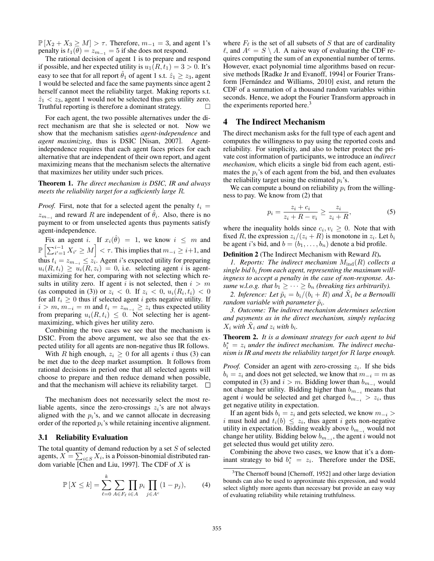$\mathbb{P}[X_2 + X_3 \geq M] > \tau$ . Therefore,  $m_{-1} = 3$ , and agent 1's penalty is  $t_1(\theta) = z_{m-1} = 5$  if she does not respond.

The rational decision of agent 1 is to prepare and respond if possible, and her expected utility is  $u_1(R, t_1)=3 > 0$ . It's easy to see that for all report  $\hat{\theta}_1$  of agent 1 s.t.  $\hat{z}_1 \geq z_3$ , agent 1 would be selected and face the same payments since agent 2 herself cannot meet the reliability target. Making reports s.t.  $\hat{z}_1 < z_3$ , agent 1 would not be selected thus gets utility zero.<br>Truthful reporting is therefore a dominant strategy Truthful reporting is therefore a dominant strategy.

For each agent, the two possible alternatives under the direct mechanism are that she is selected or not. Now we show that the mechanism satisfies *agent-independence* and *agent maximizing*, thus is DSIC [Nisan, 2007]. Agentindependence requires that each agent faces prices for each alternative that are independent of their own report, and agent maximizing means that the mechanism selects the alternative that maximizes her utility under such prices.

Theorem 1. *The direct mechanism is DSIC, IR and always meets the reliability target for a sufficiently large R.*

*Proof.* First, note that for a selected agent the penalty  $t_i =$  $z_{m-i}$  and reward *R* are independent of  $\hat{\theta}_i$ . Also, there is no payment to or from unselected agents thus payments satisfy agent-independence.

Fix an agent *i*. If  $x_i(\hat{\theta}) = 1$ , we know  $i \leq m$  and  $\mathbb{P}\left[\sum_{i'=1}^{i-1} X_{i'} \geq M\right] < \tau$ . This implies that  $m_{-i} \geq i+1$ , and thus  $t_i = z_{m_{-i}} \leq z_i$ . Agent *i*'s expected utility for preparing  $u_i(R, t_i) \ge u_i(R, z_i) = 0$ , i.e. selecting agent *i* is agentmaximizing for her, comparing with not selecting which results in utility zero. If agent *i* is not selected, then  $i > m$ (as computed in (3)) or  $z_i < 0$ . If  $z_i < 0$ ,  $u_i(R_i, t_i) < 0$ for all  $t_i \geq 0$  thus if selected agent *i* gets negative utility. If  $i > m$ ,  $m_{-i} = m$  and  $t_i = z_{m_{-i}} \ge z_i$  thus expected utility from preparing  $u_i(R, t_i) \leq 0$ . Not selecting her is agentmaximizing, which gives her utility zero.

Combining the two cases we see that the mechanism is DSIC. From the above argument, we also see that the expected utility for all agents are non-negative thus IR follows.

With *R* high enough,  $z_i \geq 0$  for all agents *i* thus (3) can be met due to the deep market assumption. It follows from rational decisions in period one that all selected agents will choose to prepare and then reduce demand when possible, and that the mechanism will achieve its reliability target.  $\Box$ 

The mechanism does not necessarily select the most reliable agents, since the zero-crossings  $z_i$ 's are not always aligned with the  $p_i$ 's, and we cannot allocate in decreasing order of the reported *pi*'s while retaining incentive alignment.

#### 3.1 Reliability Evaluation

The total quantity of demand reduction by a set *S* of selected agents,  $X = \sum_{i \in S} X_i$ , is a Poisson-binomial distributed random variable [Chen and Liu, 1997]. The CDF of *X* is

$$
\mathbb{P}\left[X \leq k\right] = \sum_{\ell=0}^{k} \sum_{A \in F_{\ell}} \prod_{i \in A} p_i \prod_{j \in A^c} (1 - p_j),\tag{4}
$$

where  $F_{\ell}$  is the set of all subsets of *S* that are of cardinality  $\ell$ , and  $A^c = S \setminus A$ . A naive way of evaluating the CDF requires computing the sum of an exponential number of terms. However, exact polynomial time algorithms based on recursive methods [Radke Jr and Evanoff, 1994] or Fourier Transform [Fernández and Williams, 2010] exist, and return the CDF of a summation of a thousand random variables within seconds. Hence, we adopt the Fourier Transform approach in the experiments reported here.<sup>3</sup>

#### 4 The Indirect Mechanism

The direct mechanism asks for the full type of each agent and computes the willingness to pay using the reported costs and reliability. For simplicity, and also to better protect the private cost information of participants, we introduce an *indirect mechanism*, which elicits a single bid from each agent, estimates the  $p_i$ 's of each agent from the bid, and then evaluates the reliability target using the estimated  $p_i$ 's.

We can compute a bound on reliability  $p_i$  from the willingness to pay. We know from (2) that

$$
p_i = \frac{z_i + c_i}{z_i + R - v_i} \ge \frac{z_i}{z_i + R},\tag{5}
$$

where the inequality holds since  $c_i, v_i \geq 0$ . Note that with fixed *R*, the expression  $z_i/(z_i + R)$  is monotone in  $z_i$ . Let  $b_i$ be agent *i*'s bid, and  $b = (b_1, \ldots, b_n)$  denote a bid profile.

#### Definition 2 (The Indirect Mechanism with Reward *R*).

*1. Reports: The indirect mechanism*  $M_{ind}(R)$  *collects a single bid b<sup>i</sup> from each agent, representing the maximum willingness to accept a penalty in the case of non-response. Assume w.l.o.g. that*  $b_1 \geq \cdots \geq b_n$  *(breaking ties arbitrarily).* 

2. Inference: Let  $\tilde{p}_i = b_i/(b_i + R)$  and  $\tilde{X}_i$  be a Bernoulli *random variable with parameter*  $\tilde{p}_i$ *.* 

*3. Outcome: The indirect mechanism determines selection and payments as in the direct mechanism, simply replacing*  $X_i$  *with*  $X_i$  *and*  $z_i$  *with*  $b_i$ *.* 

Theorem 2. *It is a dominant strategy for each agent to bid*  $b_i^* = z_i$  *under the indirect mechanism. The indirect mechanism is IR and meets the reliability target for R large enough.*

*Proof.* Consider an agent with zero-crossing *zi*. If she bids  $b_i = z_i$  and does not get selected, we know that  $m_{-i} = m$  as computed in (3) and  $i > m$ . Bidding lower than  $b_{m-i}$  would not change her utility. Bidding higher than  $b_{m-i}$  means that agent *i* would be selected and get charged  $b_{m-i} > z_i$ , thus get negative utility in expectation.

If an agent bids  $b_i = z_i$  and gets selected, we know  $m_{-i}$ *i* must hold and  $t_i(b) \leq z_i$ , thus agent *i* gets non-negative utility in expectation. Bidding weakly above  $b_{m-i}$  would not change her utility. Bidding below  $b_{m}$ , the agent *i* would not get selected thus would get utility zero.

Combining the above two cases, we know that it's a dominant strategy to bid  $b_i^* = z_i$ . Therefore under the DSE,

<sup>&</sup>lt;sup>3</sup>The Chernoff bound [Chernoff, 1952] and other large deviation bounds can also be used to approximate this expression, and would select slightly more agents than necessary but provide an easy way of evaluating reliability while retaining truthfulness.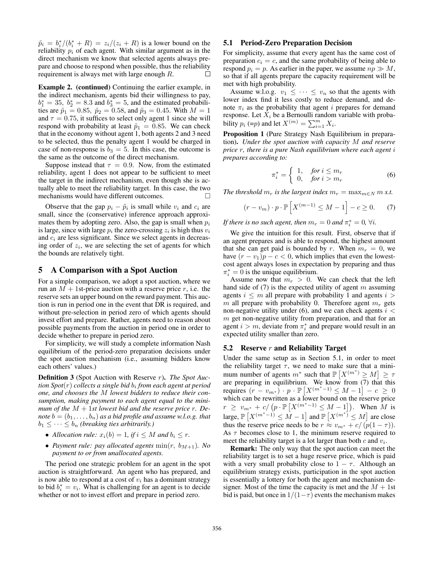$\tilde{p}_i = b_i^*/(b_i^* + R) = z_i/(z_i + R)$  is a lower bound on the reliability  $p_i$  of each agent. With similar argument as in the direct mechanism we know that selected agents always prepare and choose to respond when possible, thus the reliability requirement is always met with large enough *R*. П

Example 2. (continued) Continuing the earlier example, in the indirect mechanism, agents bid their willingness to pay,  $b_1^* = 35$ ,  $b_2^* = 8.3$  and  $b_3^* = 5$ , and the estimated probabilities are  $\tilde{p}_1 = 0.85$ ,  $\tilde{p}_2 = 0.58$ , and  $\tilde{p}_3 = 0.45$ . With  $M = 1$ and  $\tau = 0.75$ , it suffices to select only agent 1 since she will respond with probability at least  $\tilde{p}_1 = 0.85$ . We can check that in the economy without agent 1, both agents 2 and 3 need to be selected, thus the penalty agent 1 would be charged in case of non-response is  $b_3 = 5$ . In this case, the outcome is the same as the outcome of the direct mechanism.

Suppose instead that  $\tau = 0.9$ . Now, from the estimated reliability, agent 1 does not appear to be sufficient to meet the target in the indirect mechanism, even though she is actually able to meet the reliability target. In this case, the two mechanisms would have different outcomes.  $\Box$ 

Observe that the gap  $p_i - \tilde{p}_i$  is small while  $v_i$  and  $c_i$  are small, since the (conservative) inference approach approximates them by adopting zero. Also, the gap is small when *p<sup>i</sup>* is large, since with large  $p_i$  the zero-crossing  $z_i$  is high thus  $v_i$ and *c<sup>i</sup>* are less significant. Since we select agents in decreasing order of *zi*, we are selecting the set of agents for which the bounds are relatively tight.

#### 5 A Comparison with a Spot Auction

For a simple comparison, we adopt a spot auction, where we run an  $M + 1$ st-price auction with a reserve price  $r$ , i.e. the reserve sets an upper bound on the reward payment. This auction is run in period one in the event that DR is required, and without pre-selection in period zero of which agents should invest effort and prepare. Rather, agents need to reason about possible payments from the auction in period one in order to decide whether to prepare in period zero.

For simplicity, we will study a complete information Nash equilibrium of the period-zero preparation decisions under the spot auction mechanism (i.e., assuming bidders know each others' values.)

Definition 3 (Spot Auction with Reserve *r*). *The Spot Auction Spot*(*r*) *collects a single bid b<sup>i</sup> from each agent at period one, and chooses the M lowest bidders to reduce their consumption, making payment to each agent equal to the minimum of the M* + 1*st lowest bid and the reserve price r. Denote*  $b = (b_1, \ldots, b_n)$  *as a bid profile and assume w.l.o.g. that*  $b_1 \leq \cdots \leq b_n$  *(breaking ties arbitrarily.)* 

- *Allocation rule:*  $x_i(b) = 1$ *, if*  $i \leq M$  *and*  $b_i \leq r$ *.*
- *Payment rule: pay allocated agents*  $\min(r, b_{M+1})$ *. No payment to or from unallocated agents.*

The period one strategic problem for an agent in the spot auction is straightforward. An agent who has prepared, and is now able to respond at a cost of  $v_i$  has a dominant strategy to bid  $b_i^* = v_i$ . What is challenging for an agent is to decide whether or not to invest effort and prepare in period zero.

#### 5.1 Period-Zero Preparation Decision

For simplicity, assume that every agent has the same cost of preparation  $c_i = c$ , and the same probability of being able to respond  $p_i = p$ . As earlier in the paper, we assume  $np \gg M$ , so that if all agents prepare the capacity requirement will be met with high probability.

Assume w.l.o.g.  $v_1 \leq \cdots \leq v_n$  so that the agents with lower index find it less costly to reduce demand, and denote  $\pi_i$  as the probability that agent *i* prepares for demand response. Let  $X_i$  be a Bernoulli random variable with probability  $p_i$  (= $p$ ) and let  $X^{(m)} = \sum_{i=1}^{m} X_i$ .

Proposition 1 (Pure Strategy Nash Equilibrium in preparation). *Under the spot auction with capacity M and reserve price r, there is a pure Nash equilibrium where each agent i prepares according to:*

$$
\pi_i^* = \begin{cases} 1, & \text{for } i \le m_r \\ 0, & \text{for } i > m_r \end{cases} \tag{6}
$$

*The threshold*  $m_r$  *is the largest index*  $m_r = \max_{m \in N} m$  *s.t.* 

$$
(r - v_m) \cdot p \cdot \mathbb{P}\left[X^{(m-1)} \le M - 1\right] - c \ge 0. \tag{7}
$$

*If there is no such agent, then*  $m_r = 0$  *and*  $\pi_i^* = 0$ ,  $\forall i$ .

We give the intuition for this result. First, observe that if an agent prepares and is able to respond, the highest amount that she can get paid is bounded by *r*. When  $m_r = 0$ , we have  $(r - v_1)p - c < 0$ , which implies that even the lowestcost agent always loses in expectation by preparing and thus  $\pi_i^* = 0$  is the unique equilibrium.

Assume now that  $m_r > 0$ . We can check that the left hand side of (7) is the expected utility of agent *m* assuming agents  $i \leq m$  all prepare with probability 1 and agents  $i >$  $m$  all prepare with probability 0. Therefore agent  $m_r$  gets non-negative utility under (6), and we can check agents *i < m* get non-negative utility from preparation, and that for an agent  $i > m$ , deviate from  $\pi_i^*$  and prepare would result in an expected utility smaller than zero.

#### 5.2 Reserve *r* and Reliability Target

Under the same setup as in Section 5.1, in order to meet the reliability target  $\tau$ , we need to make sure that a minimum number of agents  $m^*$  such that  $\mathbb{P}\left[X^{(m^*)} \geq M\right] \geq \tau$ are preparing in equilibrium. We know from (7) that this requires  $(r - v_{m^*}) \cdot p \cdot \mathbb{P}[X^{(m^*-1)} \leq M - 1] - c \geq 0$ which can be rewritten as a lower bound on the reserve price  $r \geq v_{m^*} + c / (p \cdot \mathbb{P}[X^{(m^*-1)} \leq M-1])$ . When *M* is  $\text{large}, \mathbb{P}\left[X^{(m^*-1)} \leq M-1\right]$  and  $\mathbb{P}\left[X^{(m^*)} \leq M\right]$  are close thus the reserve price needs to be  $r \approx v_{m^*} + c/(p(1 - \tau))$ . As  $\tau$  becomes close to 1, the minimum reserve required to meet the reliability target is a lot larger than both *c* and *vi*.

Remark: The only way that the spot auction can meet the reliability target is to set a huge reserve price, which is paid with a very small probability close to  $1 - \tau$ . Although an equilibrium strategy exists, participation in the spot auction is essentially a lottery for both the agent and mechanism designer. Most of the time the capacity is met and the  $M + 1$ st bid is paid, but once in  $1/(1 - \tau)$  events the mechanism makes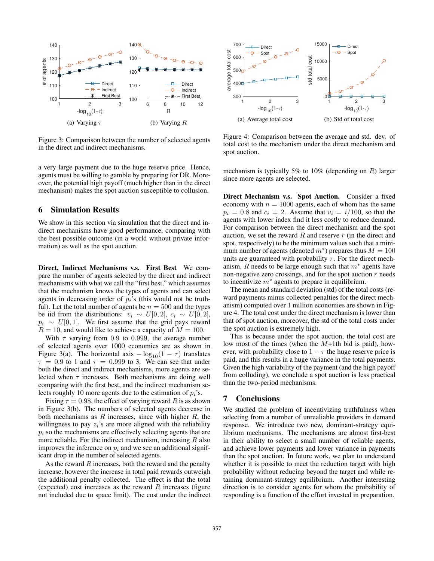

Figure 3: Comparison between the number of selected agents in the direct and indirect mechanisms.

a very large payment due to the huge reserve price. Hence, agents must be willing to gamble by preparing for DR. Moreover, the potential high payoff (much higher than in the direct mechanism) makes the spot auction susceptible to collusion.

## 6 Simulation Results

We show in this section via simulation that the direct and indirect mechanisms have good performance, comparing with the best possible outcome (in a world without private information) as well as the spot auction.

Direct, Indirect Mechanisms v.s. First Best We compare the number of agents selected by the direct and indirect mechanisms with what we call the "first best," which assumes that the mechanism knows the types of agents and can select agents in decreasing order of  $p_i$ 's (this would not be truthful). Let the total number of agents be  $n = 500$  and the types be iid from the distributions:  $v_i \sim U[0, 2], c_i \sim U[0, 2]$ ,  $p_i \sim U[0, 1]$ . We first assume that the grid pays reward  $R = 10$ , and would like to achieve a capacity of  $M = 100$ .

With  $\tau$  varying from 0.9 to 0.999, the average number of selected agents over 1000 economies are as shown in Figure 3(a). The horizontal axis  $-\log_{10}(1 - \tau)$  translates  $\tau = 0.9$  to 1 and  $\tau = 0.999$  to 3. We can see that under both the direct and indirect mechanisms, more agents are selected when  $\tau$  increases. Both mechanisms are doing well comparing with the first best, and the indirect mechanism selects roughly 10 more agents due to the estimation of *pi*'s.

Fixing  $\tau = 0.98$ , the effect of varying reward R is as shown in Figure 3(b). The numbers of selected agents decrease in both mechanisms as *R* increases, since with higher *R*, the willingness to pay  $z_i$ 's are more aligned with the reliability  $p_i$  so the mechanisms are effectively selecting agents that are more reliable. For the indirect mechanism, increasing *R* also improves the inference on  $p_i$  and we see an additional significant drop in the number of selected agents.

As the reward *R* increases, both the reward and the penalty increase, however the increase in total paid rewards outweigh the additional penalty collected. The effect is that the total (expected) cost increases as the reward *R* increases (figure not included due to space limit). The cost under the indirect



Figure 4: Comparison between the average and std. dev. of total cost to the mechanism under the direct mechanism and spot auction.

mechanism is typically 5% to 10% (depending on *R*) larger since more agents are selected.

Direct Mechanism v.s. Spot Auction. Consider a fixed economy with  $n = 1000$  agents, each of whom has the same  $p_i = 0.8$  and  $c_i = 2$ . Assume that  $v_i = i/100$ , so that the agents with lower index find it less costly to reduce demand. For comparison between the direct mechanism and the spot auction, we set the reward *R* and reserve *r* (in the direct and spot, respectively) to be the minimum values such that a minimum number of agents (denoted  $m^*$ ) prepares thus  $M = 100$ units are guaranteed with probability  $\tau$ . For the direct mechanism, *R* needs to be large enough such that  $m^*$  agents have non-negative zero crossings, and for the spot auction *r* needs to incentivize  $m^*$  agents to prepare in equilibrium.

The mean and standard deviation (std) of the total costs (reward payments minus collected penalties for the direct mechanism) computed over 1 million economies are shown in Figure 4. The total cost under the direct mechanism is lower than that of spot auction, moreover, the std of the total costs under the spot auction is extremely high.

This is because under the spot auction, the total cost are low most of the times (when the *M*+1th bid is paid), however, with probability close to  $1 - \tau$  the huge reserve price is paid, and this results in a huge variance in the total payments. Given the high variability of the payment (and the high payoff from colluding), we conclude a spot auction is less practical than the two-period mechanisms.

#### 7 Conclusions

We studied the problem of incentivizing truthfulness when selecting from a number of unrealiable providers in demand response. We introduce two new, dominant-strategy equilibrium mechanisms. The mechanisms are almost first-best in their ability to select a small number of reliable agents, and achieve lower payments and lower variance in payments than the spot auction. In future work, we plan to understand whether it is possible to meet the reduction target with high probability without reducing beyond the target and while retaining dominant-strategy equilibrium. Another interesting direction is to consider agents for whom the probability of responding is a function of the effort invested in preparation.